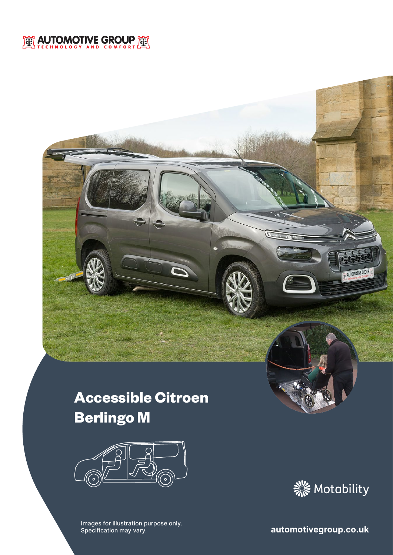## EX AUTOMOTIVE GROUP EX

# **Accessible Citroen Berlingo M**



**Images for illustration purpose only.**<br>
Specification may vary. **Automotivegroup.co.uk** Specification may vary.



AUTOMOTIVE GROUP